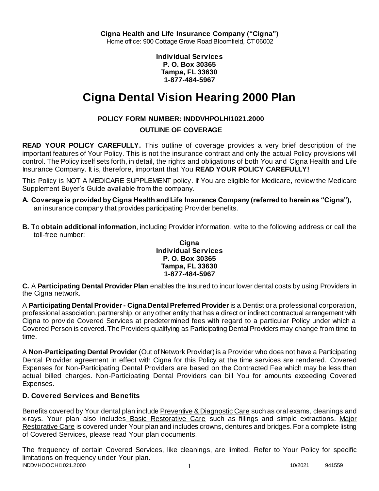**Cigna Health and Life Insurance Company ("Cigna")** Home office: 900 Cottage Grove Road Bloomfield, CT 06002

> **Individual Services P. O. Box 30365 Tampa, FL 33630 1-877-484-5967**

# **Cigna Dental Vision Hearing 2000 Plan**

# **POLICY FORM NUMBER: INDDVHPOLHI1021.2000**

### **OUTLINE OF COVERAGE**

**READ YOUR POLICY CAREFULLY.** This outline of coverage provides a very brief description of the important features of Your Policy. This is not the insurance contract and only the actual Policy provisions will control. The Policy itself sets forth, in detail, the rights and obligations of both You and Cigna Health and Life Insurance Company. It is, therefore, important that You **READ YOUR POLICY CAREFULLY!** 

This Policy is NOT A MEDICARE SUPPLEMENT policy. If You are eligible for Medicare, review the Medicare Supplement Buyer's Guide available from the company.

- **A. Coverage is provided by Cigna Health and Life Insurance Company (referred to herein as "Cigna"),**  an insurance company that provides participating Provider benefits.
- **B.** To **obtain additional information**, including Provider information, write to the following address or call the toll-free number:

### **Cigna Individual Services P. O. Box 30365 Tampa, FL 33630 1-877-484-5967**

**C.** A **Participating Dental Provider Plan** enables the Insured to incur lower dental costs by using Providers in the Cigna network.

A **Participating Dental Provider - Cigna Dental Preferred Provider** is a Dentist or a professional corporation, professional association, partnership, or any other entity that has a direct or indirect contractual arrangement with Cigna to provide Covered Services at predetermined fees with regard to a particular Policy under which a Covered Person is covered. The Providers qualifying as Participating Dental Providers may change from time to time.

A **Non-Participating Dental Provider** (Out of Network Provider) is a Provider who does not have a Participating Dental Provider agreement in effect with Cigna for this Policy at the time services are rendered. Covered Expenses for Non-Participating Dental Providers are based on the Contracted Fee which may be less than actual billed charges. Non-Participating Dental Providers can bill You for amounts exceeding Covered Expenses.

# **D. Covered Services and Benefits**

Benefits covered by Your dental plan include Preventive & Diagnostic Care such as oral exams, cleanings and x-rays. Your plan also includes Basic Restorative Care such as fillings and simple extractions. Major Restorative Care is covered under Your plan and includes crowns, dentures and bridges. For a complete listing of Covered Services, please read Your plan documents.

INDDVHOOCHI1021.2000 1 2000 1 2000 1 2000 1 2000 1 2000 1 2000 1 2000 1 2000 1 2000 1 2000 1 2000 1 2000 1 200 The frequency of certain Covered Services, like cleanings, are limited. Refer to Your Policy for specific limitations on frequency under Your plan.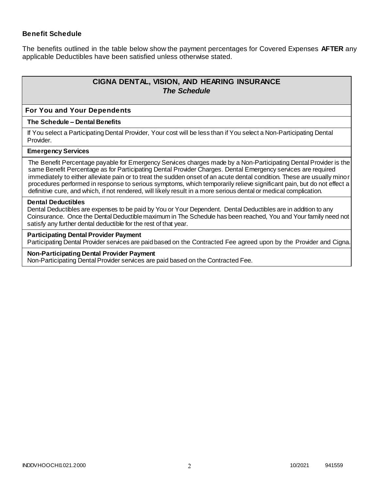### **Benefit Schedule**

The benefits outlined in the table below show the payment percentages for Covered Expenses **AFTER** any applicable Deductibles have been satisfied unless otherwise stated.

# **CIGNA DENTAL, VISION, AND HEARING INSURANCE** *The Schedule*

#### **For You and Your Dependents**

#### **The Schedule – Dental Benefits**

If You select a Participating Dental Provider, Your cost will be less than if You select a Non-Participating Dental Provider.

#### **Emergency Services**

The Benefit Percentage payable for Emergency Services charges made by a Non-Participating Dental Provider is the same Benefit Percentage as for Participating Dental Provider Charges. Dental Emergency services are required immediately to either alleviate pain or to treat the sudden onset of an acute dental condition. These are usually minor procedures performed in response to serious symptoms, which temporarily relieve significant pain, but do not effect a definitive cure, and which, if not rendered, will likely result in a more serious dental or medical complication.

#### **Dental Deductibles**

Dental Deductibles are expenses to be paid by You or Your Dependent. Dental Deductibles are in addition to any Coinsurance. Once the Dental Deductible maximum in The Schedule has been reached, You and Your family need not satisfy any further dental deductible for the rest of that year.

#### **Participating Dental Provider Payment**

Participating Dental Provider services are paid based on the Contracted Fee agreed upon by the Provider and Cigna.

#### **Non-Participating Dental Provider Payment**

Non-Participating Dental Provider services are paid based on the Contracted Fee.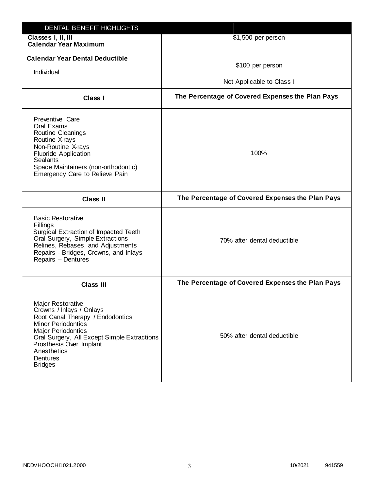| DENTAL BENEFIT HIGHLIGHTS                                                                                                                                                                                                                                                 |                                                  |
|---------------------------------------------------------------------------------------------------------------------------------------------------------------------------------------------------------------------------------------------------------------------------|--------------------------------------------------|
| Classes I, II, III<br><b>Calendar Year Maximum</b>                                                                                                                                                                                                                        | \$1,500 per person                               |
| <b>Calendar Year Dental Deductible</b><br>Individual                                                                                                                                                                                                                      | \$100 per person<br>Not Applicable to Class I    |
|                                                                                                                                                                                                                                                                           |                                                  |
| Class I                                                                                                                                                                                                                                                                   | The Percentage of Covered Expenses the Plan Pays |
| Preventive Care<br>Oral Exams<br>Routine Cleanings<br>Routine X-rays<br>Non-Routine X-rays<br><b>Fluoride Application</b><br><b>Sealants</b><br>Space Maintainers (non-orthodontic)<br>Emergency Care to Relieve Pain                                                     | 100%                                             |
| <b>Class II</b>                                                                                                                                                                                                                                                           | The Percentage of Covered Expenses the Plan Pays |
| <b>Basic Restorative</b><br>Fillings<br>Surgical Extraction of Impacted Teeth<br>Oral Surgery, Simple Extractions<br>Relines, Rebases, and Adjustments<br>Repairs - Bridges, Crowns, and Inlays<br>Repairs - Dentures                                                     | 70% after dental deductible                      |
| <b>Class III</b>                                                                                                                                                                                                                                                          | The Percentage of Covered Expenses the Plan Pays |
| <b>Major Restorative</b><br>Crowns / Inlays / Onlays<br>Root Canal Therapy / Endodontics<br><b>Minor Periodontics</b><br><b>Major Periodontics</b><br>Oral Surgery, All Except Simple Extractions<br>Prosthesis Over Implant<br>Anesthetics<br>Dentures<br><b>Bridges</b> | 50% after dental deductible                      |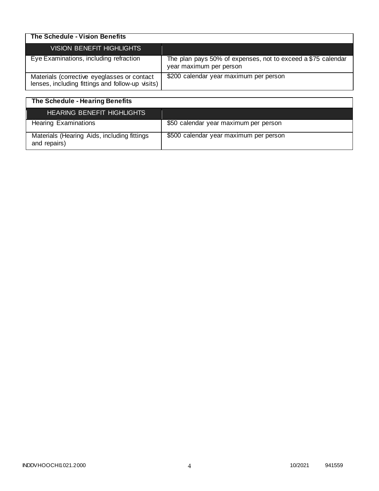| The Schedule - Vision Benefits                                                                  |                                                                                         |
|-------------------------------------------------------------------------------------------------|-----------------------------------------------------------------------------------------|
| VISION BENEFIT HIGHLIGHTS                                                                       |                                                                                         |
| Eye Examinations, including refraction                                                          | The plan pays 50% of expenses, not to exceed a \$75 calendar<br>year maximum per person |
| Materials (corrective eyeglasses or contact<br>lenses, including fittings and follow-up visits) | \$200 calendar year maximum per person                                                  |

| The Schedule - Hearing Benefits                             |                                        |
|-------------------------------------------------------------|----------------------------------------|
| <b>HEARING BENEFIT HIGHLIGHTS</b>                           |                                        |
| <b>Hearing Examinations</b>                                 | \$50 calendar year maximum per person  |
| Materials (Hearing Aids, including fittings<br>and repairs) | \$500 calendar year maximum per person |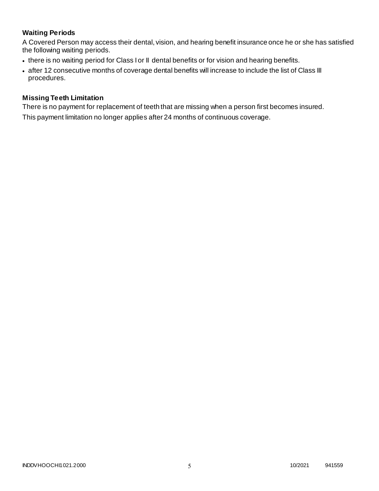# **Waiting Periods**

A Covered Person may access their dental, vision, and hearing benefit insurance once he or she has satisfied the following waiting periods.

- there is no waiting period for Class I or II dental benefits or for vision and hearing benefits.
- after 12 consecutive months of coverage dental benefits will increase to include the list of Class III procedures.

### **Missing Teeth Limitation**

There is no payment for replacement of teeth that are missing when a person first becomes insured. This payment limitation no longer applies after 24 months of continuous coverage.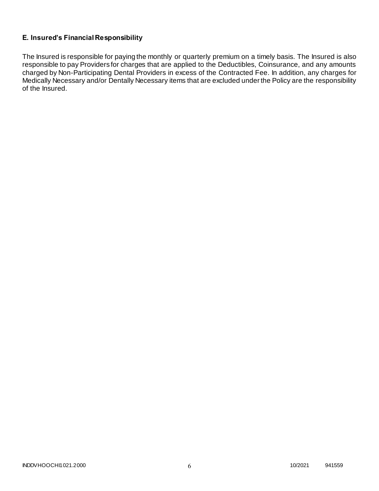# **E. Insured's Financial Responsibility**

The Insured is responsible for paying the monthly or quarterly premium on a timely basis. The Insured is also responsible to pay Providers for charges that are applied to the Deductibles, Coinsurance, and any amounts charged by Non-Participating Dental Providers in excess of the Contracted Fee. In addition, any charges for Medically Necessary and/or Dentally Necessary items that are excluded under the Policy are the responsibility of the Insured.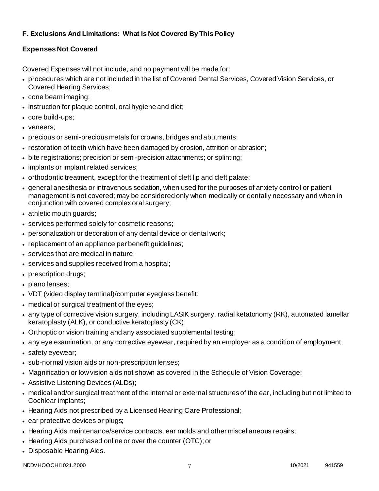# **F. Exclusions And Limitations: What Is Not Covered By This Policy**

# **Expenses Not Covered**

Covered Expenses will not include, and no payment will be made for:

- procedures which are not included in the list of Covered Dental Services, Covered Vision Services, or Covered Hearing Services;
- cone beam imaging;
- instruction for plaque control, oral hygiene and diet;
- core build-ups;
- veneers;
- precious or semi-precious metals for crowns, bridges and abutments;
- restoration of teeth which have been damaged by erosion, attrition or abrasion;
- bite registrations; precision or semi-precision attachments; or splinting;
- implants or implant related services;
- orthodontic treatment, except for the treatment of cleft lip and cleft palate;
- general anesthesia or intravenous sedation, when used for the purposes of anxiety control or patient management is not covered; may be considered only when medically or dentally necessary and when in conjunction with covered complex oral surgery;
- athletic mouth guards;
- services performed solely for cosmetic reasons;
- personalization or decoration of any dental device or dental work;
- replacement of an appliance per benefit guidelines;
- services that are medical in nature:
- services and supplies received from a hospital;
- prescription drugs;
- plano lenses:
- VDT (video display terminal)/computer eyeglass benefit;
- medical or surgical treatment of the eyes;
- any type of corrective vision surgery, including LASIK surgery, radial ketatonomy (RK), automated lamellar keratoplasty (ALK), or conductive keratoplasty (CK);
- Orthoptic or vision training and any associated supplemental testing;
- any eye examination, or any corrective eyewear, required by an employer as a condition of employment;
- safety eyewear;
- sub-normal vision aids or non-prescription lenses;
- Magnification or low vision aids not shown as covered in the Schedule of Vision Coverage;
- Assistive Listening Devices (ALDs);
- medical and/or surgical treatment of the internal or external structures of the ear, including but not limited to Cochlear implants;
- Hearing Aids not prescribed by a Licensed Hearing Care Professional;
- ear protective devices or plugs;
- Hearing Aids maintenance/service contracts, ear molds and other miscellaneous repairs;
- Hearing Aids purchased online or over the counter (OTC); or
- Disposable Hearing Aids.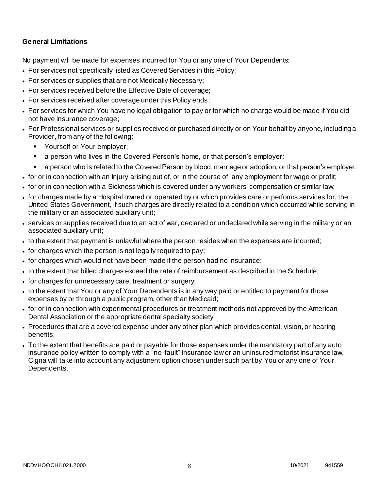## **General Limitations**

No payment will be made for expenses incurred for You or any one of Your Dependents:

- For services not specifically listed as Covered Services in this Policy;
- For services or supplies that are not Medically Necessary;
- For services received before the Effective Date of coverage;
- For services received after coverage under this Policy ends;
- For services for which You have no legal obligation to pay or for which no charge would be made if You did not have insurance coverage;
- For Professional services or supplies received or purchased directly or on Your behalf by anyone, including a Provider, from any of the following:
	- **Yourself or Your employer;**
	- a person who lives in the Covered Person's home, or that person's employer;
	- a person who is related to the Covered Person by blood, marriage or adoption, or that person's employer.
- for or in connection with an Injury arising out of, or in the course of, any employment for wage or profit;
- for or in connection with a Sickness which is covered under any workers' compensation or similar law;
- for charges made by a Hospital owned or operated by or which provides care or performs services for, the United States Government, if such charges are directly related to a condition which occurred while serving in the military or an associated auxiliary unit;
- services or supplies received due to an act of war, declared or undeclared while serving in the military or an associated auxiliary unit;
- to the extent that payment is unlawful where the person resides when the expenses are incurred;
- for charges which the person is not legally required to pay;
- for charges which would not have been made if the person had no insurance;
- to the extent that billed charges exceed the rate of reimbursement as described in the Schedule;
- for charges for unnecessary care, treatment or surgery;
- to the extent that You or any of Your Dependents is in any way paid or entitled to payment for those expenses by or through a public program, other than Medicaid;
- for or in connection with experimental procedures or treatment methods not approved by the American Dental Association or the appropriate dental specialty society;
- Procedures that are a covered expense under any other plan which provides dental, vision, or hearing benefits;
- To the extent that benefits are paid or payable for those expenses under the mandatory part of any auto insurance policy written to comply with a "no-fault" insurance law or an uninsured motorist insurance law. Cigna will take into account any adjustment option chosen under such part by You or any one of Your Dependents.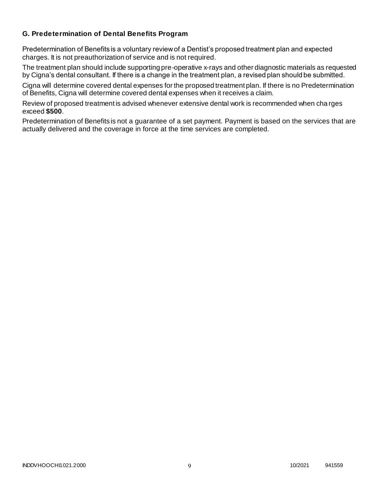### **G. Predetermination of Dental Benefits Program**

Predetermination of Benefits is a voluntary review of a Dentist's proposed treatment plan and expected charges. It is not preauthorization of service and is not required.

The treatment plan should include supporting pre-operative x-rays and other diagnostic materials as requested by Cigna's dental consultant. If there is a change in the treatment plan, a revised plan should be submitted.

Cigna will determine covered dental expenses for the proposed treatment plan. If there is no Predetermination of Benefits, Cigna will determine covered dental expenses when it receives a claim.

Review of proposed treatment is advised whenever extensive dental work is recommended when cha rges exceed **\$500**.

Predetermination of Benefits is not a guarantee of a set payment. Payment is based on the services that are actually delivered and the coverage in force at the time services are completed.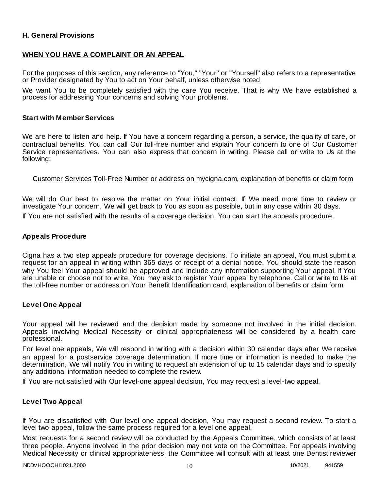### **H. General Provisions**

### **WHEN YOU HAVE A COMPLAINT OR AN APPEAL**

For the purposes of this section, any reference to "You," "Your" or "Yourself" also refers to a representative or Provider designated by You to act on Your behalf, unless otherwise noted.

We want You to be completely satisfied with the care You receive. That is why We have established a process for addressing Your concerns and solving Your problems.

### **Start with Member Services**

We are here to listen and help. If You have a concern regarding a person, a service, the quality of care, or contractual benefits, You can call Our toll-free number and explain Your concern to one of Our Customer Service representatives. You can also express that concern in writing. Please call or write to Us at the following:

Customer Services Toll-Free Number or address on mycigna.com, explanation of benefits or claim form

We will do Our best to resolve the matter on Your initial contact. If We need more time to review or investigate Your concern, We will get back to You as soon as possible, but in any case within 30 days.

If You are not satisfied with the results of a coverage decision, You can start the appeals procedure.

### **Appeals Procedure**

Cigna has a two step appeals procedure for coverage decisions. To initiate an appeal, You must submit a request for an appeal in writing within 365 days of receipt of a denial notice. You should state the reason why You feel Your appeal should be approved and include any information supporting Your appeal. If You are unable or choose not to write, You may ask to register Your appeal by telephone. Call or write to Us at the toll-free number or address on Your Benefit Identification card, explanation of benefits or claim form.

### **Level One Appeal**

Your appeal will be reviewed and the decision made by someone not involved in the initial decision. Appeals involving Medical Necessity or clinical appropriateness will be considered by a health care professional.

For level one appeals, We will respond in writing with a decision within 30 calendar days after We receive an appeal for a postservice coverage determination. If more time or information is needed to make the determination, We will notify You in writing to request an extension of up to 15 calendar days and to specify any additional information needed to complete the review.

If You are not satisfied with Our level-one appeal decision, You may request a level-two appeal.

### **Level Two Appeal**

If You are dissatisfied with Our level one appeal decision, You may request a second review. To start a level two appeal, follow the same process required for a level one appeal.

Most requests for a second review will be conducted by the Appeals Committee, which consists of at least three people. Anyone involved in the prior decision may not vote on the Committee. For appeals involving Medical Necessity or clinical appropriateness, the Committee will consult with at least one Dentist reviewer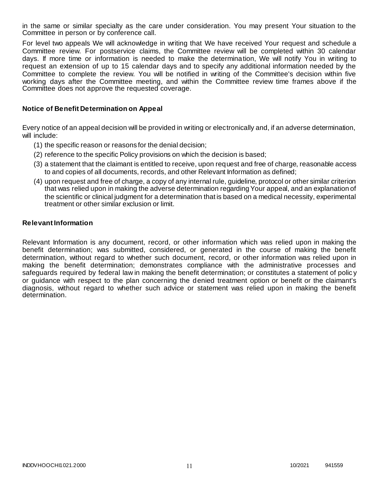in the same or similar specialty as the care under consideration. You may present Your situation to the Committee in person or by conference call.

For level two appeals We will acknowledge in writing that We have received Your request and schedule a Committee review. For postservice claims, the Committee review will be completed within 30 calendar days. If more time or information is needed to make the determination, We will notify You in writing to request an extension of up to 15 calendar days and to specify any additional information needed by the Committee to complete the review. You will be notified in writing of the Committee's decision within five working days after the Committee meeting, and within the Committee review time frames above if the Committee does not approve the requested coverage.

### **Notice of Benefit Determination on Appeal**

Every notice of an appeal decision will be provided in writing or electronically and, if an adverse determination, will include:

- (1) the specific reason or reasons for the denial decision;
- (2) reference to the specific Policy provisions on which the decision is based;
- (3) a statement that the claimant is entitled to receive, upon request and free of charge, reasonable access to and copies of all documents, records, and other Relevant Information as defined;
- (4) upon request and free of charge, a copy of any internal rule, guideline, protocol or other similar criterion that was relied upon in making the adverse determination regarding Your appeal, and an explanation of the scientific or clinical judgment for a determination that is based on a medical necessity, experimental treatment or other similar exclusion or limit.

### **Relevant Information**

Relevant Information is any document, record, or other information which was relied upon in making the benefit determination; was submitted, considered, or generated in the course of making the benefit determination, without regard to whether such document, record, or other information was relied upon in making the benefit determination; demonstrates compliance with the administrative processes and safeguards required by federal law in making the benefit determination; or constitutes a statement of polic y or guidance with respect to the plan concerning the denied treatment option or benefit or the claimant's diagnosis, without regard to whether such advice or statement was relied upon in making the benefit determination.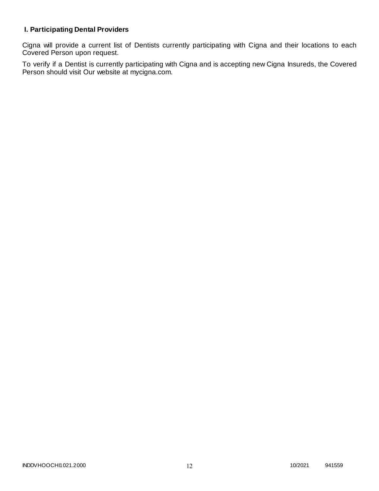# **I. Participating Dental Providers**

Cigna will provide a current list of Dentists currently participating with Cigna and their locations to each Covered Person upon request.

To verify if a Dentist is currently participating with Cigna and is accepting new Cigna Insureds, the Covered Person should visit Our website at mycigna.com.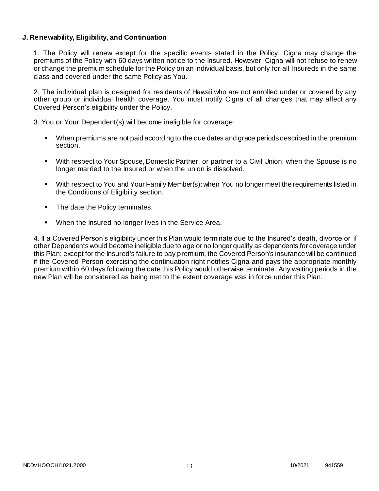### **J. Renewability, Eligibility, and Continuation**

1. The Policy will renew except for the specific events stated in the Policy. Cigna may change the premiums of the Policy with 60 days written notice to the Insured. However, Cigna will not refuse to renew or change the premium schedule for the Policy on an individual basis, but only for all Insureds in the same class and covered under the same Policy as You.

2. The individual plan is designed for residents of Hawaii who are not enrolled under or covered by any other group or individual health coverage. You must notify Cigna of all changes that may affect any Covered Person's eligibility under the Policy.

3. You or Your Dependent(s) will become ineligible for coverage:

- When premiums are not paid according to the due dates and grace periods described in the premium section.
- With respect to Your Spouse, Domestic Partner, or partner to a Civil Union: when the Spouse is no longer married to the Insured or when the union is dissolved.
- With respect to You and Your Family Member(s): when You no longer meet the requirements listed in the Conditions of Eligibility section.
- The date the Policy terminates.
- When the Insured no longer lives in the Service Area.

4. If a Covered Person's eligibility under this Plan would terminate due to the Insured's death, divorce or if other Dependents would become ineligible due to age or no longer qualify as dependents for coverage under this Plan; except for the Insured's failure to pay premium, the Covered Person's insurance will be continued if the Covered Person exercising the continuation right notifies Cigna and pays the appropriate monthly premium within 60 days following the date this Policy would otherwise terminate. Any waiting periods in the new Plan will be considered as being met to the extent coverage was in force under this Plan.